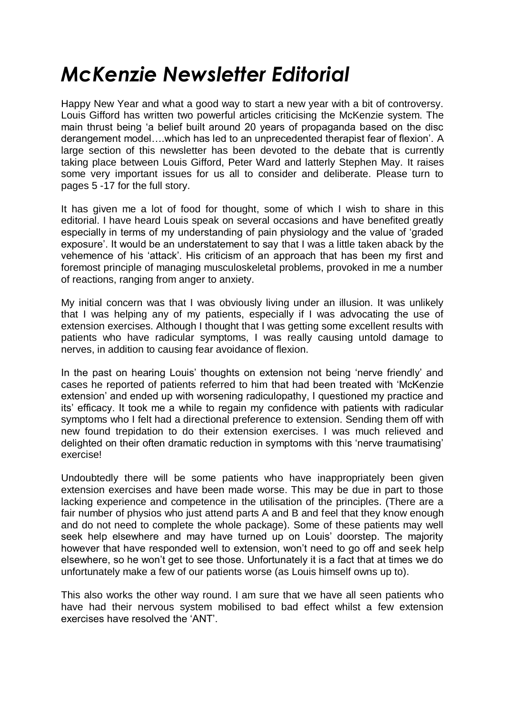## *McKenzie Newsletter Editorial*

Happy New Year and what a good way to start a new year with a bit of controversy. Louis Gifford has written two powerful articles criticising the McKenzie system. The main thrust being 'a belief built around 20 years of propaganda based on the disc derangement model….which has led to an unprecedented therapist fear of flexion'. A large section of this newsletter has been devoted to the debate that is currently taking place between Louis Gifford, Peter Ward and latterly Stephen May. It raises some very important issues for us all to consider and deliberate. Please turn to pages 5 -17 for the full story.

It has given me a lot of food for thought, some of which I wish to share in this editorial. I have heard Louis speak on several occasions and have benefited greatly especially in terms of my understanding of pain physiology and the value of 'graded exposure'. It would be an understatement to say that I was a little taken aback by the vehemence of his 'attack'. His criticism of an approach that has been my first and foremost principle of managing musculoskeletal problems, provoked in me a number of reactions, ranging from anger to anxiety.

My initial concern was that I was obviously living under an illusion. It was unlikely that I was helping any of my patients, especially if I was advocating the use of extension exercises. Although I thought that I was getting some excellent results with patients who have radicular symptoms, I was really causing untold damage to nerves, in addition to causing fear avoidance of flexion.

In the past on hearing Louis' thoughts on extension not being 'nerve friendly' and cases he reported of patients referred to him that had been treated with 'McKenzie extension' and ended up with worsening radiculopathy, I questioned my practice and its' efficacy. It took me a while to regain my confidence with patients with radicular symptoms who I felt had a directional preference to extension. Sending them off with new found trepidation to do their extension exercises. I was much relieved and delighted on their often dramatic reduction in symptoms with this 'nerve traumatising' exercise!

Undoubtedly there will be some patients who have inappropriately been given extension exercises and have been made worse. This may be due in part to those lacking experience and competence in the utilisation of the principles. (There are a fair number of physios who just attend parts A and B and feel that they know enough and do not need to complete the whole package). Some of these patients may well seek help elsewhere and may have turned up on Louis' doorstep. The majority however that have responded well to extension, won't need to go off and seek help elsewhere, so he won't get to see those. Unfortunately it is a fact that at times we do unfortunately make a few of our patients worse (as Louis himself owns up to).

This also works the other way round. I am sure that we have all seen patients who have had their nervous system mobilised to bad effect whilst a few extension exercises have resolved the 'ANT'.